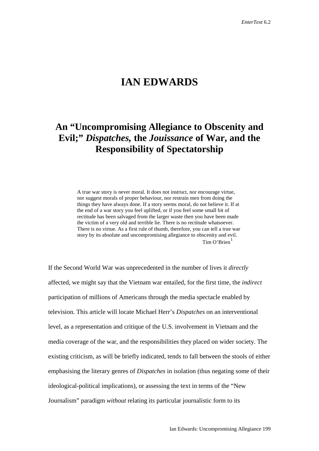## **IAN EDWARDS**

## **An "Uncompromising Allegiance to Obscenity and Evil;"** *Dispatches,* **the** *Jouissance* **of War, and the Responsibility of Spectatorship**

A true war story is never moral. It does not instruct, nor encourage virtue, nor suggest morals of proper behaviour, nor restrain men from doing the things they have always done. If a story seems moral, do not believe it. If at the end of a war story you feel uplifted, or if you feel some small bit of rectitude has been salvaged from the larger waste then you have been made the victim of a very old and terrible lie. There is no rectitude whatsoever. There is no virtue. As a first rule of thumb, therefore, you can tell a true war story by its absolute and uncompromising allegiance to obscenity and evil. Tim  $O'$ Brien $<sup>1</sup>$  $<sup>1</sup>$  $<sup>1</sup>$ </sup>

If the Second World War was unprecedented in the number of lives it *directly* affected, we might say that the Vietnam war entailed, for the first time, the *indirect* participation of millions of Americans through the media spectacle enabled by television. This article will locate Michael Herr's *Dispatches* on an interventional level, as a representation and critique of the U.S. involvement in Vietnam and the media coverage of the war, and the responsibilities they placed on wider society. The existing criticism, as will be briefly indicated, tends to fall between the stools of either emphasising the literary genres of *Dispatches* in isolation (thus negating some of their ideological-political implications), or assessing the text in terms of the "New Journalism" paradigm *without* relating its particular journalistic form to its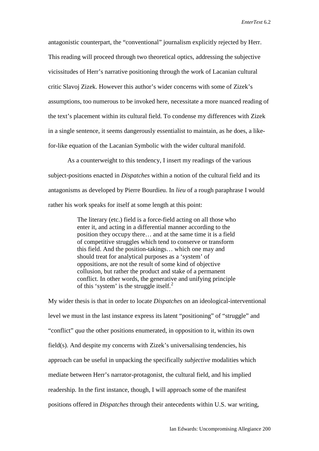antagonistic counterpart, the "conventional" journalism explicitly rejected by Herr. This reading will proceed through two theoretical optics, addressing the subjective vicissitudes of Herr's narrative positioning through the work of Lacanian cultural critic Slavoj Zizek. However this author's wider concerns with some of Zizek's assumptions, too numerous to be invoked here, necessitate a more nuanced reading of the text's placement within its cultural field. To condense my differences with Zizek in a single sentence, it seems dangerously essentialist to maintain, as he does, a likefor-like equation of the Lacanian Symbolic with the wider cultural manifold.

As a counterweight to this tendency, I insert my readings of the various subject-positions enacted in *Dispatches* within a notion of the cultural field and its antagonisms as developed by Pierre Bourdieu. In *lieu* of a rough paraphrase I would rather his work speaks for itself at some length at this point:

> The literary (etc.) field is a force-field acting on all those who enter it, and acting in a differential manner according to the position they occupy there… and at the same time it is a field of competitive struggles which tend to conserve or transform this field. And the position-takings… which one may and should treat for analytical purposes as a 'system' of oppositions, are not the result of some kind of objective collusion, but rather the product and stake of a permanent conflict. In other words, the generative and unifying principle of this 'system' is the struggle itself.<sup>[2](#page-27-1)</sup>

My wider thesis is that in order to locate *Dispatches* on an ideological-interventional level we must in the last instance express its latent "positioning" of "struggle" and "conflict" *qua* the other positions enumerated, in opposition to it, within its own field(s). And despite my concerns with Zizek's universalising tendencies, his approach can be useful in unpacking the specifically *subjective* modalities which mediate between Herr's narrator-protagonist, the cultural field, and his implied readership*.* In the first instance, though, I will approach some of the manifest positions offered in *Dispatches* through their antecedents within U.S. war writing,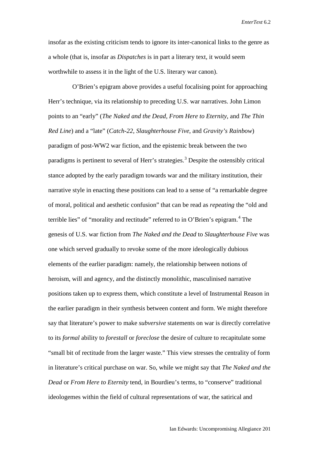insofar as the existing criticism tends to ignore its inter-canonical links to the genre as a whole (that is, insofar as *Dispatches* is in part a literary text, it would seem worthwhile to assess it in the light of the U.S. literary war canon).

O'Brien's epigram above provides a useful focalising point for approaching Herr's technique, via its relationship to preceding U.S. war narratives. John Limon points to an "early" (*The Naked and the Dead, From Here to Eternity*, and *The Thin Red Line*) and a "late" (*Catch-22, Slaughterhouse Five*, and *Gravity's Rainbow*) paradigm of post-WW2 war fiction, and the epistemic break between the two paradigms is pertinent to several of Herr's strategies.<sup>[3](#page-28-0)</sup> Despite the ostensibly critical stance adopted by the early paradigm towards war and the military institution, their narrative style in enacting these positions can lead to a sense of "a remarkable degree of moral, political and aesthetic confusion" that can be read as *repeating* the "old and terrible lies" of "morality and rectitude" referred to in O'Brien's epigram.<sup>[4](#page-28-1)</sup> The genesis of U.S. war fiction from *The Naked and the Dead* to *Slaughterhouse Five* was one which served gradually to revoke some of the more ideologically dubious elements of the earlier paradigm: namely, the relationship between notions of heroism, will and agency, and the distinctly monolithic, masculinised narrative positions taken up to express them, which constitute a level of Instrumental Reason in the earlier paradigm in their synthesis between content and form. We might therefore say that literature's power to make *subversive* statements on war is directly correlative to its *formal* ability to *forestall* or *foreclose* the desire of culture to recapitulate some "small bit of rectitude from the larger waste." This view stresses the centrality of form in literature's critical purchase on war. So, while we might say that *The Naked and the Dead* or *From Here to Eternity* tend, in Bourdieu's terms, to "conserve" traditional ideologemes within the field of cultural representations of war, the satirical and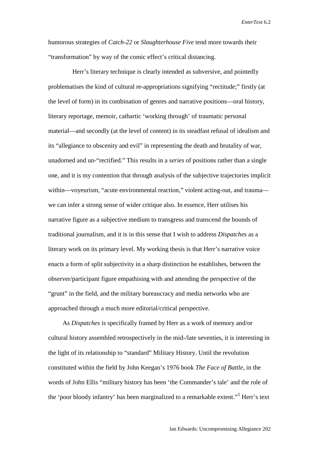humorous strategies of *Catch-22* or *Slaughterhouse Five* tend more towards their "transformation" by way of the comic effect's critical distancing.

Herr's literary technique is clearly intended as subversive, and pointedly problematises the kind of cultural re-appropriations signifying "rectitude;" firstly (at the level of form) in its combination of genres and narrative positions—oral history, literary reportage, memoir, cathartic 'working through' of traumatic personal material—and secondly (at the level of content) in its steadfast refusal of idealism and its "allegiance to obscenity and evil" in representing the death and brutality of war, unadorned and un-"rectified." This results in a *series* of positions rather than a single one, and it is my contention that through analysis of the subjective trajectories implicit within—voyeurism, "acute environmental reaction," violent acting-out, and trauma we can infer a strong sense of wider critique also. In essence, Herr utilises his narrative figure as a subjective medium to transgress and transcend the bounds of traditional journalism, and it is in this sense that I wish to address *Dispatches* as a literary work on its primary level. My working thesis is that Herr's narrative voice enacts a form of split subjectivity in a sharp distinction he establishes, between the observer/participant figure empathising with and attending the perspective of the "grunt" in the field, and the military bureaucracy and media networks who are approached through a much more editorial/critical perspective.

 As *Dispatches* is specifically framed by Herr as a work of memory and/or cultural history assembled retrospectively in the mid-/late seventies, it is interesting in the light of its relationship to "standard" Military History. Until the revolution constituted within the field by John Keegan's 1976 book *The Face of Battle*, in the words of John Ellis "military history has been 'the Commander's tale' and the role of the 'poor bloody infantry' has been marginalized to a remarkable extent."[5](#page-28-2) Herr's text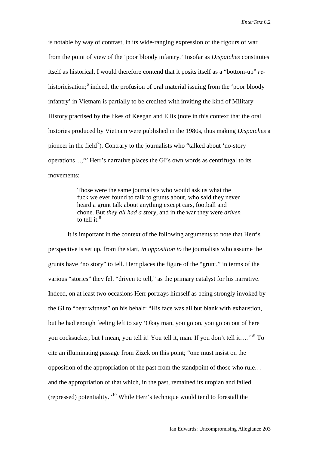is notable by way of contrast, in its wide-ranging expression of the rigours of war from the point of view of the 'poor bloody infantry.' Insofar as *Dispatches* constitutes itself as historical, I would therefore contend that it posits itself as a "bottom-up" *re*-historicisation;<sup>[6](#page-28-3)</sup> indeed, the profusion of oral material issuing from the 'poor bloody infantry' in Vietnam is partially to be credited with inviting the kind of Military History practised by the likes of Keegan and Ellis (note in this context that the oral histories produced by Vietnam were published in the 1980s, thus making *Dispatches* a pioneer in the field<sup>[7](#page-28-4)</sup>). Contrary to the journalists who "talked about 'no-story operations…,'" Herr's narrative places the GI's own words as centrifugal to its movements:

> Those were the same journalists who would ask us what the fuck we ever found to talk to grunts about, who said they never heard a grunt talk about anything except cars, football and chone. But *they all had a story*, and in the war they were *driven* to tell it. $8<sup>8</sup>$  $8<sup>8</sup>$

It is important in the context of the following arguments to note that Herr's perspective is set up, from the start, *in opposition to* the journalists who assume the grunts have "no story" to tell. Herr places the figure of the "grunt," in terms of the various "stories" they felt "driven to tell," as the primary catalyst for his narrative. Indeed, on at least two occasions Herr portrays himself as being strongly invoked by the GI to "bear witness" on his behalf: "His face was all but blank with exhaustion, but he had enough feeling left to say 'Okay man, you go on, you go on out of here you cocksucker, but I mean, you tell it! You tell it, man. If you don't tell it….'"[9](#page-28-6) To cite an illuminating passage from Zizek on this point; "one must insist on the opposition of the appropriation of the past from the standpoint of those who rule… and the appropriation of that which, in the past, remained its utopian and failed (repressed) potentiality."[10](#page-28-7) While Herr's technique would tend to forestall the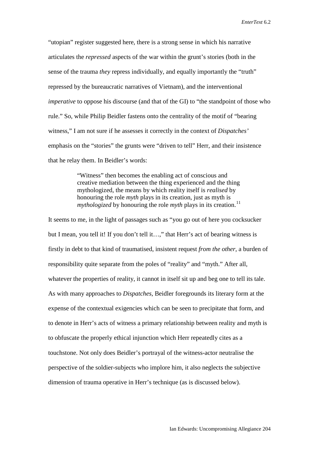"utopian" register suggested here, there is a strong sense in which his narrative articulates the *repressed* aspects of the war within the grunt's stories (both in the sense of the trauma *they* repress individually, and equally importantly the "truth" repressed by the bureaucratic narratives of Vietnam), and the interventional *imperative* to oppose his discourse (and that of the GI) to "the standpoint of those who rule." So, while Philip Beidler fastens onto the centrality of the motif of "bearing witness," I am not sure if he assesses it correctly in the context of *Dispatches'* emphasis on the "stories" the grunts were "driven to tell" Herr, and their insistence that he relay them. In Beidler's words:

> "Witness" then becomes the enabling act of conscious and creative mediation between the thing experienced and the thing mythologized, the means by which reality itself is *realised* by honouring the role *myth* plays in its creation, just as myth is *mythologized* by honouring the role *myth* plays in its creation.<sup>[11](#page-28-8)</sup>

It seems to me, in the light of passages such as "you go out of here you cocksucker but I mean, you tell it! If you don't tell it...," that Herr's act of bearing witness is firstly in debt to that kind of traumatised, insistent request *from the other*, a burden of responsibility quite separate from the poles of "reality" and "myth." After all, whatever the properties of reality, it cannot in itself sit up and beg one to tell its tale. As with many approaches to *Dispatches*, Beidler foregrounds its literary form at the expense of the contextual exigencies which can be seen to precipitate that form, and to denote in Herr's acts of witness a primary relationship between reality and myth is to obfuscate the properly ethical injunction which Herr repeatedly cites as a touchstone. Not only does Beidler's portrayal of the witness-actor neutralise the perspective of the soldier-subjects who implore him, it also neglects the subjective dimension of trauma operative in Herr's technique (as is discussed below).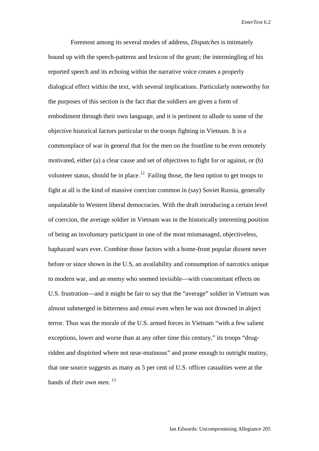Foremost among its several modes of address, *Dispatches* is intimately bound up with the speech-patterns and lexicon of the grunt; the intermingling of his reported speech and its echoing within the narrative voice creates a properly dialogical effect within the text, with several implications. Particularly noteworthy for the purposes of this section is the fact that the soldiers are given a form of embodiment through their own language, and it is pertinent to allude to some of the objective historical factors particular to the troops fighting in Vietnam. It is a commonplace of war in general that for the men on the frontline to be even remotely motivated, either (a) a clear cause and set of objectives to fight for or against, or (b) volunteer status, should be in place.<sup>[12](#page-28-9)</sup> Failing those, the best option to get troops to fight at all is the kind of massive coercion common in (say) Soviet Russia, generally unpalatable to Western liberal democracies. With the draft introducing a certain level of coercion, the average soldier in Vietnam was in the historically interesting position of being an involuntary participant in one of the most mismanaged, objectiveless, haphazard wars ever. Combine those factors with a home-front popular dissent never before or since shown in the U.S, an availability and consumption of narcotics unique to modern war, and an enemy who seemed invisible—with concomitant effects on U.S. frustration—and it might be fair to say that the "average" soldier in Vietnam was almost submerged in bitterness and *ennui* even when he was not drowned in abject terror. Thus was the morale of the U.S. armed forces in Vietnam "with a few salient exceptions, lower and worse than at any other time this century," its troops "drugridden and dispirited where not near-mutinous" and prone enough to outright mutiny, that one source suggests as many as 5 per cent of U.S. officer casualties were at the hands of *their own men.* <sup>[13](#page-28-10)</sup>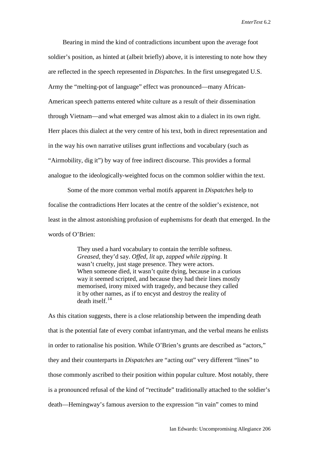Bearing in mind the kind of contradictions incumbent upon the average foot soldier's position, as hinted at (albeit briefly) above, it is interesting to note how they are reflected in the speech represented in *Dispatches*. In the first unsegregated U.S. Army the "melting-pot of language" effect was pronounced—many African-American speech patterns entered white culture as a result of their dissemination through Vietnam—and what emerged was almost akin to a dialect in its own right. Herr places this dialect at the very centre of his text, both in direct representation and in the way his own narrative utilises grunt inflections and vocabulary (such as "Airmobility, dig it") by way of free indirect discourse. This provides a formal analogue to the ideologically-weighted focus on the common soldier within the text.

Some of the more common verbal motifs apparent in *Dispatches* help to focalise the contradictions Herr locates at the centre of the soldier's existence, not least in the almost astonishing profusion of euphemisms for death that emerged. In the words of O'Brien:

> They used a hard vocabulary to contain the terrible softness. *Greased*, they'd say. *Offed, lit up*, *zapped while zipping*. It wasn't cruelty, just stage presence. They were actors. When someone died, it wasn't quite dying, because in a curious way it seemed scripted, and because they had their lines mostly memorised, irony mixed with tragedy, and because they called it by other names, as if to encyst and destroy the reality of  $death$  itself.<sup>[14](#page-28-11)</sup>

As this citation suggests, there is a close relationship between the impending death that is the potential fate of every combat infantryman, and the verbal means he enlists in order to rationalise his position. While O'Brien's grunts are described as "actors," they and their counterparts in *Dispatches* are "acting out" very different "lines" to those commonly ascribed to their position within popular culture. Most notably, there is a pronounced refusal of the kind of "rectitude" traditionally attached to the soldier's death—Hemingway's famous aversion to the expression "in vain" comes to mind

Ian Edwards: Uncompromising Allegiance 206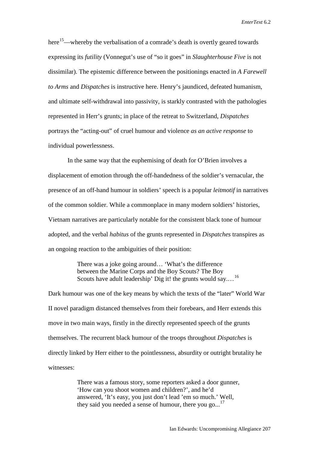here<sup>[15](#page-28-12)</sup>—whereby the verbalisation of a comrade's death is overtly geared towards expressing its *futility* (Vonnegut's use of "so it goes" in *Slaughterhouse Five* is not dissimilar). The epistemic difference between the positionings enacted in *A Farewell to Arms* and *Dispatches* is instructive here. Henry's jaundiced, defeated humanism, and ultimate self-withdrawal into passivity, is starkly contrasted with the pathologies represented in Herr's grunts; in place of the retreat to Switzerland, *Dispatches*  portrays the "acting-out" of cruel humour and violence *as an active response* to individual powerlessness.

 In the same way that the euphemising of death for O'Brien involves a displacement of emotion through the off-handedness of the soldier's vernacular, the presence of an off-hand humour in soldiers' speech is a popular *leitmotif* in narratives of the common soldier. While a commonplace in many modern soldiers' histories, Vietnam narratives are particularly notable for the consistent black tone of humour adopted, and the verbal *habitus* of the grunts represented in *Dispatches* transpires as an ongoing reaction to the ambiguities of their position:

> There was a joke going around… 'What's the difference between the Marine Corps and the Boy Scouts? The Boy Scouts have adult leadership' Dig it! the grunts would say....<sup>[16](#page-28-13)</sup>

Dark humour was one of the key means by which the texts of the "later" World War II novel paradigm distanced themselves from their forebears, and Herr extends this move in two main ways, firstly in the directly represented speech of the grunts themselves. The recurrent black humour of the troops throughout *Dispatches* is directly linked by Herr either to the pointlessness, absurdity or outright brutality he witnesses:

> There was a famous story, some reporters asked a door gunner, 'How can you shoot women and children?', and he'd answered, 'It's easy, you just don't lead 'em so much.' Well, they said you needed a sense of humour, there you go...<sup>[17](#page-28-14)</sup>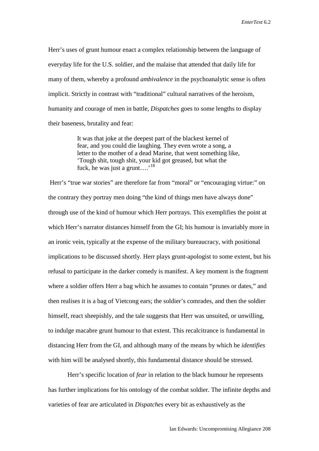Herr's uses of grunt humour enact a complex relationship between the language of everyday life for the U.S. soldier, and the malaise that attended that daily life for many of them, whereby a profound *ambivalence* in the psychoanalytic sense is often implicit. Strictly in contrast with "traditional" cultural narratives of the heroism, humanity and courage of men in battle, *Dispatches* goes to some lengths to display their baseness, brutality and fear:

> It was that joke at the deepest part of the blackest kernel of fear, and you could die laughing. They even wrote a song, a letter to the mother of a dead Marine, that went something like, 'Tough shit, tough shit, your kid got greased, but what the fuck, he was just a grunt….'[18](#page-28-15)

Herr's "true war stories" are therefore far from "moral" or "encouraging virtue:" on the contrary they portray men doing "the kind of things men have always done" through use of the kind of humour which Herr portrays. This exemplifies the point at which Herr's narrator distances himself from the GI; his humour is invariably more in an ironic vein, typically at the expense of the military bureaucracy, with positional implications to be discussed shortly. Herr plays grunt-apologist to some extent, but his refusal to participate in the darker comedy is manifest. A key moment is the fragment where a soldier offers Herr a bag which he assumes to contain "prunes or dates," and then realises it is a bag of Vietcong ears; the soldier's comrades, and then the soldier himself, react sheepishly, and the tale suggests that Herr was unsuited, or unwilling, to indulge macabre grunt humour to that extent. This recalcitrance is fundamental in distancing Herr from the GI, and although many of the means by which he *identifies*  with him will be analysed shortly, this fundamental distance should be stressed.

 Herr's specific location of *fear* in relation to the black humour he represents has further implications for his ontology of the combat soldier. The infinite depths and varieties of fear are articulated in *Dispatches* every bit as exhaustively as the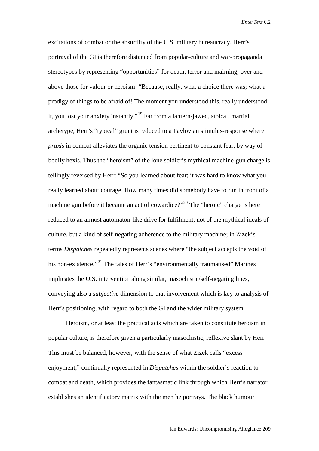excitations of combat or the absurdity of the U.S. military bureaucracy. Herr's portrayal of the GI is therefore distanced from popular-culture and war-propaganda stereotypes by representing "opportunities" for death, terror and maiming, over and above those for valour or heroism: "Because, really, what a choice there was; what a prodigy of things to be afraid of! The moment you understood this, really understood it, you lost your anxiety instantly."[19](#page-28-16) Far from a lantern-jawed, stoical, martial archetype, Herr's "typical" grunt is reduced to a Pavlovian stimulus-response where *praxis* in combat alleviates the organic tension pertinent to constant fear, by way of bodily hexis. Thus the "heroism" of the lone soldier's mythical machine-gun charge is tellingly reversed by Herr: "So you learned about fear; it was hard to know what you really learned about courage. How many times did somebody have to run in front of a machine gun before it became an act of cowardice?"<sup>[20](#page-28-17)</sup> The "heroic" charge is here reduced to an almost automaton-like drive for fulfilment, not of the mythical ideals of culture, but a kind of self-negating adherence to the military machine; in Zizek's terms *Dispatches* repeatedly represents scenes where "the subject accepts the void of his non-existence."<sup>[21](#page-28-18)</sup> The tales of Herr's "environmentally traumatised" Marines implicates the U.S. intervention along similar, masochistic/self-negating lines, conveying also a *subjective* dimension to that involvement which is key to analysis of Herr's positioning, with regard to both the GI and the wider military system.

 Heroism, or at least the practical acts which are taken to constitute heroism in popular culture, is therefore given a particularly masochistic, reflexive slant by Herr. This must be balanced, however, with the sense of what Zizek calls "excess enjoyment," continually represented in *Dispatches* within the soldier's reaction to combat and death, which provides the fantasmatic link through which Herr's narrator establishes an identificatory matrix with the men he portrays. The black humour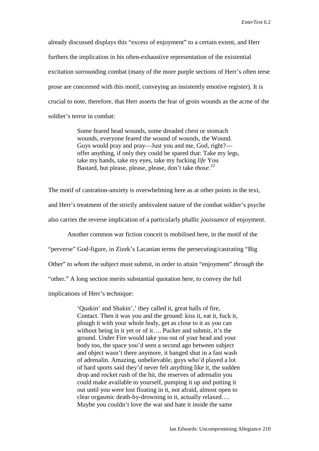already discussed displays this "excess of enjoyment" to a certain extent, and Herr furthers the implication in his often-exhaustive representation of the existential excitation surrounding combat (many of the more purple sections of Herr's often terse prose are concerned with this motif, conveying an insistently emotive register). It is crucial to note, therefore, that Herr asserts the fear of groin wounds as the acme of the soldier's terror in combat:

> Some feared head wounds, some dreaded chest or stomach wounds, everyone feared the wound of wounds, the Wound. Guys would pray and pray—Just you and me, God, right? offer anything, if only they could be spared that: Take my legs, take my hands, take my eyes, take my fucking *life* You Bastard, but please, please, please, don't take *those*. [22](#page-28-19)

The motif of castration-anxiety is overwhelming here as at other points in the text, and Herr's treatment of the strictly ambivalent nature of the combat soldier's psyche also carries the reverse implication of a particularly phallic *jouissance* of enjoyment.

Another common war fiction conceit is mobilised here, in the motif of the

"perverse" God-figure, in Zizek's Lacanian terms the persecuting/castrating "Big

Other" *to whom* the subject must submit, in order to attain "enjoyment" *through* the

"other." A long section merits substantial quotation here, to convey the full

implications of Herr's technique:

'Quakin' and Shakin',' they called it, great balls of fire, Contact. Then it was you and the ground: kiss it, eat it, fuck it, plough it with your whole body, get as close to it as you can without being in it yet or of it…. Pucker and submit, it's the ground. Under Fire would take you out of your head and your body too, the space you'd seen a second ago between subject and object wasn't there anymore, it banged shut in a fast wash of adrenalin. Amazing, unbelievable, guys who'd played a lot of hard sports said they'd never felt anything like it, the sudden drop and rocket rush of the hit, the reserves of adrenalin you could make available to yourself, pumping it up and putting it out until you were lost floating in it, not afraid, almost open to clear orgasmic death-by-drowning in it, actually relaxed…. Maybe you couldn't love the war and hate it inside the same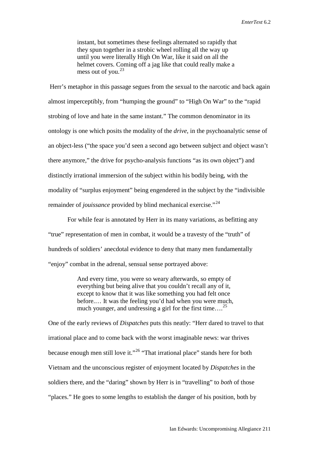instant, but sometimes these feelings alternated so rapidly that they spun together in a strobic wheel rolling all the way up until you were literally High On War, like it said on all the helmet covers. Coming off a jag like that could really make a mess out of you. $^{23}$ 

Herr's metaphor in this passage segues from the sexual to the narcotic and back again almost imperceptibly, from "humping the ground" to "High On War" to the "rapid strobing of love and hate in the same instant." The common denominator in its ontology is one which posits the modality of the *drive*, in the psychoanalytic sense of an object-less ("the space you'd seen a second ago between subject and object wasn't there anymore," the drive for psycho-analysis functions "as its own object") and distinctly irrational immersion of the subject within his bodily being, with the modality of "surplus enjoyment" being engendered in the subject by the "indivisible remainder of *jouissance* provided by blind mechanical exercise."<sup>[24](#page-28-21)</sup>

For while fear is annotated by Herr in its many variations, as befitting any "true" representation of men in combat, it would be a travesty of the "truth" of hundreds of soldiers' anecdotal evidence to deny that many men fundamentally "enjoy" combat in the adrenal, sensual sense portrayed above:

> And every time, you were so weary afterwards, so empty of everything but being alive that you couldn't recall any of it, except to know that it was like something you had felt once before.… It was the feeling you'd had when you were much, much younger, and undressing a girl for the first time....<sup>[25](#page-28-22)</sup>

One of the early reviews of *Dispatches* puts this neatly: "Herr dared to travel to that irrational place and to come back with the worst imaginable news: war thrives because enough men still love it."[26](#page-28-23) "That irrational place" stands here for both Vietnam and the unconscious register of enjoyment located by *Dispatches* in the soldiers there, and the "daring" shown by Herr is in "travelling" to *both* of those "places." He goes to some lengths to establish the danger of his position, both by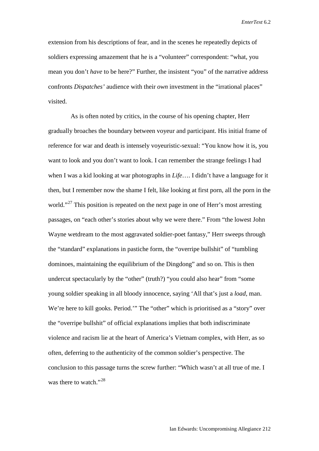extension from his descriptions of fear, and in the scenes he repeatedly depicts of soldiers expressing amazement that he is a "volunteer" correspondent: "what, you mean you don't *have* to be here?" Further, the insistent "you" of the narrative address confronts *Dispatches'* audience with their *own* investment in the "irrational places" visited.

 As is often noted by critics, in the course of his opening chapter, Herr gradually broaches the boundary between voyeur and participant. His initial frame of reference for war and death is intensely voyeuristic-sexual: "You know how it is, you want to look and you don't want to look. I can remember the strange feelings I had when I was a kid looking at war photographs in *Life*…. I didn't have a language for it then, but I remember now the shame I felt, like looking at first porn, all the porn in the world."<sup>[27](#page-28-24)</sup> This position is repeated on the next page in one of Herr's most arresting passages, on "each other's stories about why we were there." From "the lowest John Wayne wetdream to the most aggravated soldier-poet fantasy," Herr sweeps through the "standard" explanations in pastiche form, the "overripe bullshit" of "tumbling dominoes, maintaining the equilibrium of the Dingdong" and so on. This is then undercut spectacularly by the "other" (truth?) "you could also hear" from "some young soldier speaking in all bloody innocence, saying 'All that's just a *load*, man. We're here to kill gooks. Period.'" The "other" which is prioritised as a "story" over the "overripe bullshit" of official explanations implies that both indiscriminate violence and racism lie at the heart of America's Vietnam complex, with Herr, as so often, deferring to the authenticity of the common soldier's perspective. The conclusion to this passage turns the screw further: "Which wasn't at all true of me. I was there to watch."<sup>[28](#page-28-25)</sup>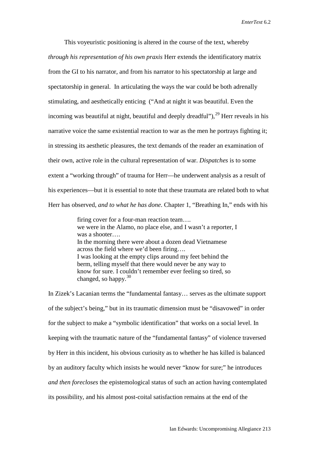This voyeuristic positioning is altered in the course of the text, whereby *through his representation of his own praxis* Herr extends the identificatory matrix from the GI to his narrator, and from his narrator to his spectatorship at large and spectatorship in general. In articulating the ways the war could be both adrenally stimulating, and aesthetically enticing ("And at night it was beautiful. Even the incoming was beautiful at night, beautiful and deeply dreadful"),  $^{29}$  $^{29}$  $^{29}$  Herr reveals in his narrative voice the same existential reaction to war as the men he portrays fighting it; in stressing its aesthetic pleasures, the text demands of the reader an examination of their own, active role in the cultural representation of war. *Dispatches* is to some extent a "working through" of trauma for Herr—he underwent analysis as a result of his experiences—but it is essential to note that these traumata are related both to what Herr has observed, *and to what he has done*. Chapter 1, "Breathing In," ends with his

> firing cover for a four-man reaction team…. we were in the Alamo, no place else, and I wasn't a reporter, I was a shooter…. In the morning there were about a dozen dead Vietnamese across the field where we'd been firing…. I was looking at the empty clips around my feet behind the berm, telling myself that there would never be any way to know for sure. I couldn't remember ever feeling so tired, so changed, so happy. $30$

In Zizek's Lacanian terms the "fundamental fantasy… serves as the ultimate support of the subject's being," but in its traumatic dimension must be "disavowed" in order for the subject to make a "symbolic identification" that works on a social level. In keeping with the traumatic nature of the "fundamental fantasy" of violence traversed by Herr in this incident, his obvious curiosity as to whether he has killed is balanced by an auditory faculty which insists he would never "know for sure;" he introduces *and then forecloses* the epistemological status of such an action having contemplated its possibility, and his almost post-coital satisfaction remains at the end of the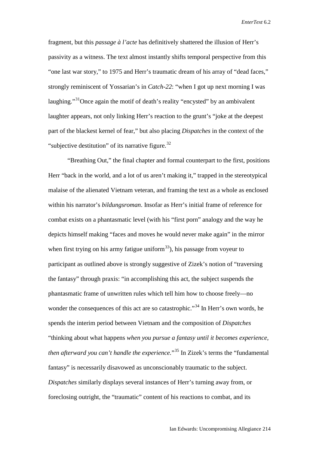fragment, but this *passage à l'acte* has definitively shattered the illusion of Herr's passivity as a witness. The text almost instantly shifts temporal perspective from this "one last war story," to 1975 and Herr's traumatic dream of his array of "dead faces," strongly reminiscent of Yossarian's in *Catch-22*: "when I got up next morning I was laughing."<sup>[31](#page-28-28)</sup>Once again the motif of death's reality "encysted" by an ambivalent laughter appears, not only linking Herr's reaction to the grunt's "joke at the deepest part of the blackest kernel of fear," but also placing *Dispatches* in the context of the "subjective destitution" of its narrative figure.<sup>[32](#page-28-29)</sup>

"Breathing Out," the final chapter and formal counterpart to the first, positions Herr "back in the world, and a lot of us aren't making it," trapped in the stereotypical malaise of the alienated Vietnam veteran, and framing the text as a whole as enclosed within his narrator's *bildungsroman*. Insofar as Herr's initial frame of reference for combat exists on a phantasmatic level (with his "first porn" analogy and the way he depicts himself making "faces and moves he would never make again" in the mirror when first trying on his army fatigue uniform<sup>[33](#page-28-30)</sup>), his passage from voyeur to participant as outlined above is strongly suggestive of Zizek's notion of "traversing the fantasy" through praxis: "in accomplishing this act, the subject suspends the phantasmatic frame of unwritten rules which tell him how to choose freely—no wonder the consequences of this act are so catastrophic."<sup>[34](#page-28-31)</sup> In Herr's own words, he spends the interim period between Vietnam and the composition of *Dispatches* "thinking about what happens *when you pursue a fantasy until it becomes experience, then afterward you can't handle the experience.*"[35](#page-28-32) In Zizek's terms the "fundamental fantasy" is necessarily disavowed as unconscionably traumatic to the subject. *Dispatches* similarly displays several instances of Herr's turning away from, or foreclosing outright, the "traumatic" content of his reactions to combat, and its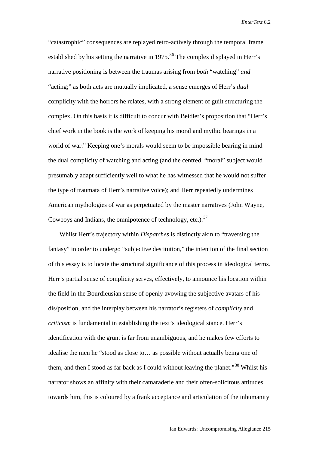"catastrophic" consequences are replayed retro-actively through the temporal frame established by his setting the narrative in  $1975$ .<sup>[36](#page-28-33)</sup> The complex displayed in Herr's narrative positioning is between the traumas arising from *both* "watching" *and*  "acting;" as both acts are mutually implicated, a sense emerges of Herr's *dual* complicity with the horrors he relates, with a strong element of guilt structuring the complex. On this basis it is difficult to concur with Beidler's proposition that "Herr's chief work in the book is the work of keeping his moral and mythic bearings in a world of war." Keeping one's morals would seem to be impossible bearing in mind the dual complicity of watching and acting (and the centred, "moral" subject would presumably adapt sufficiently well to what he has witnessed that he would not suffer the type of traumata of Herr's narrative voice); and Herr repeatedly undermines American mythologies of war as perpetuated by the master narratives (John Wayne, Cowboys and Indians, the omnipotence of technology, etc.). $37$ 

 Whilst Herr's trajectory within *Dispatches* is distinctly akin to "traversing the fantasy" in order to undergo "subjective destitution," the intention of the final section of this essay is to locate the structural significance of this process in ideological terms. Herr's partial sense of complicity serves, effectively, to announce his location within the field in the Bourdieusian sense of openly avowing the subjective avatars of his dis/position, and the interplay between his narrator's registers of *complicity* and *criticism* is fundamental in establishing the text's ideological stance. Herr's identification with the grunt is far from unambiguous, and he makes few efforts to idealise the men he "stood as close to… as possible without actually being one of them, and then I stood as far back as I could without leaving the planet.<sup>[38](#page-28-35)</sup> Whilst his narrator shows an affinity with their camaraderie and their often-solicitous attitudes towards him, this is coloured by a frank acceptance and articulation of the inhumanity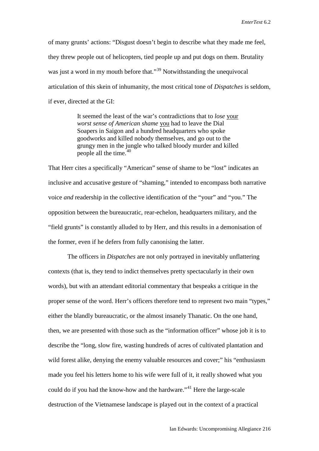of many grunts' actions: "Disgust doesn't begin to describe what they made me feel, they threw people out of helicopters, tied people up and put dogs on them. Brutality was just a word in my mouth before that."<sup>[39](#page-28-36)</sup> Notwithstanding the unequivocal articulation of this skein of inhumanity, the most critical tone of *Dispatches* is seldom, if ever, directed at the GI:

> It seemed the least of the war's contradictions that to *lose* your *worst sense of American shame* you had to leave the Dial Soapers in Saigon and a hundred headquarters who spoke goodworks and killed nobody themselves, and go out to the grungy men in the jungle who talked bloody murder and killed people all the time.<sup>[40](#page-28-37)</sup>

That Herr cites a specifically "American" sense of shame to be "lost" indicates an inclusive and accusative gesture of "shaming," intended to encompass both narrative voice *and* readership in the collective identification of the "your" and "you." The opposition between the bureaucratic, rear-echelon, headquarters military, and the "field grunts" is constantly alluded to by Herr, and this results in a demonisation of the former, even if he defers from fully canonising the latter.

The officers in *Dispatches* are not only portrayed in inevitably unflattering contexts (that is, they tend to indict themselves pretty spectacularly in their own words), but with an attendant editorial commentary that bespeaks a critique in the proper sense of the word. Herr's officers therefore tend to represent two main "types," either the blandly bureaucratic, or the almost insanely Thanatic. On the one hand, then, we are presented with those such as the "information officer" whose job it is to describe the "long, slow fire, wasting hundreds of acres of cultivated plantation and wild forest alike, denying the enemy valuable resources and cover;" his "enthusiasm" made you feel his letters home to his wife were full of it, it really showed what you could do if you had the know-how and the hardware."<sup>[41](#page-28-38)</sup> Here the large-scale destruction of the Vietnamese landscape is played out in the context of a practical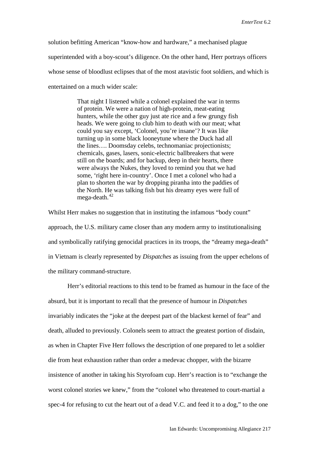solution befitting American "know-how and hardware," a mechanised plague superintended with a boy-scout's diligence. On the other hand, Herr portrays officers whose sense of bloodlust eclipses that of the most atavistic foot soldiers, and which is entertained on a much wider scale:

> That night I listened while a colonel explained the war in terms of protein. We were a nation of high-protein, meat-eating hunters, while the other guy just ate rice and a few grungy fish heads. We were going to club him to death with our meat; what could you say except, 'Colonel, you're insane'? It was like turning up in some black looneytune where the Duck had all the lines…. Doomsday celebs, technomaniac projectionists; chemicals, gases, lasers, sonic-electric ballbreakers that were still on the boards; and for backup, deep in their hearts, there were always the Nukes, they loved to remind you that we had some, 'right here in-country'. Once I met a colonel who had a plan to shorten the war by dropping piranha into the paddies of the North. He was talking fish but his dreamy eyes were full of mega-death. $42$

Whilst Herr makes no suggestion that in instituting the infamous "body count" approach, the U.S. military came closer than any modern army to institutionalising and symbolically ratifying genocidal practices in its troops, the "dreamy mega-death" in Vietnam is clearly represented by *Dispatches* as issuing from the upper echelons of the military command-structure.

Herr's editorial reactions to this tend to be framed as humour in the face of the absurd, but it is important to recall that the presence of humour in *Dispatches*  invariably indicates the "joke at the deepest part of the blackest kernel of fear" and death, alluded to previously. Colonels seem to attract the greatest portion of disdain, as when in Chapter Five Herr follows the description of one prepared to let a soldier die from heat exhaustion rather than order a medevac chopper, with the bizarre insistence of another in taking his Styrofoam cup. Herr's reaction is to "exchange the worst colonel stories we knew," from the "colonel who threatened to court-martial a spec-4 for refusing to cut the heart out of a dead V.C. and feed it to a dog," to the one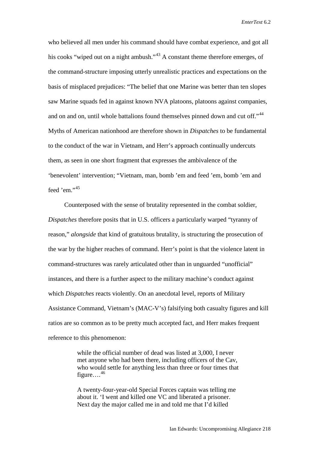who believed all men under his command should have combat experience, and got all his cooks "wiped out on a night ambush."<sup>[43](#page-28-40)</sup> A constant theme therefore emerges, of the command-structure imposing utterly unrealistic practices and expectations on the basis of misplaced prejudices: "The belief that one Marine was better than ten slopes saw Marine squads fed in against known NVA platoons, platoons against companies, and on and on, until whole battalions found themselves pinned down and cut off."<sup>[44](#page-28-41)</sup> Myths of American nationhood are therefore shown in *Dispatches* to be fundamental to the conduct of the war in Vietnam, and Herr's approach continually undercuts them, as seen in one short fragment that expresses the ambivalence of the 'benevolent' intervention; "Vietnam, man, bomb 'em and feed 'em, bomb 'em and feed 'em." $45$ 

 Counterposed with the sense of brutality represented in the combat soldier, *Dispatches* therefore posits that in U.S. officers a particularly warped "tyranny of reason," *alongside* that kind of gratuitous brutality, is structuring the prosecution of the war by the higher reaches of command. Herr's point is that the violence latent in command-structures was rarely articulated other than in unguarded "unofficial" instances, and there is a further aspect to the military machine's conduct against which *Dispatches* reacts violently. On an anecdotal level, reports of Military Assistance Command, Vietnam's (MAC-V's) falsifying both casualty figures and kill ratios are so common as to be pretty much accepted fact, and Herr makes frequent reference to this phenomenon:

> while the official number of dead was listed at 3,000, I never met anyone who had been there, including officers of the Cav, who would settle for anything less than three or four times that figure… $^{46}$  $^{46}$  $^{46}$

A twenty-four-year-old Special Forces captain was telling me about it. 'I went and killed one VC and liberated a prisoner. Next day the major called me in and told me that I'd killed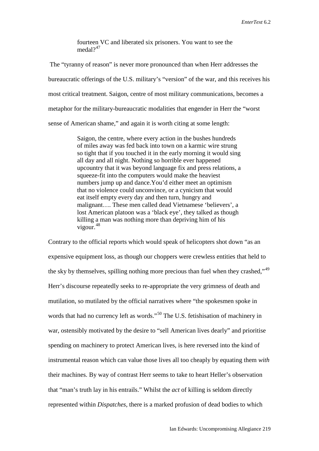fourteen VC and liberated six prisoners. You want to see the medal $2^{47}$  $2^{47}$  $2^{47}$ 

The "tyranny of reason" is never more pronounced than when Herr addresses the bureaucratic offerings of the U.S. military's "version" of the war, and this receives his most critical treatment. Saigon, centre of most military communications, becomes a metaphor for the military-bureaucratic modalities that engender in Herr the "worst sense of American shame," and again it is worth citing at some length:

> Saigon, the centre, where every action in the bushes hundreds of miles away was fed back into town on a karmic wire strung so tight that if you touched it in the early morning it would sing all day and all night. Nothing so horrible ever happened upcountry that it was beyond language fix and press relations, a squeeze-fit into the computers would make the heaviest numbers jump up and dance.You'd either meet an optimism that no violence could unconvince, or a cynicism that would eat itself empty every day and then turn, hungry and malignant…. These men called dead Vietnamese 'believers', a lost American platoon was a 'black eye', they talked as though killing a man was nothing more than depriving him of his vigour.[48](#page-28-45)

Contrary to the official reports which would speak of helicopters shot down "as an expensive equipment loss, as though our choppers were crewless entities that held to the sky by themselves, spilling nothing more precious than fuel when they crashed,"<sup>[49](#page-28-46)</sup> Herr's discourse repeatedly seeks to re-appropriate the very grimness of death and mutilation, so mutilated by the official narratives where "the spokesmen spoke in words that had no currency left as words."<sup>[50](#page-28-47)</sup> The U.S. fetishisation of machinery in war, ostensibly motivated by the desire to "sell American lives dearly" and prioritise spending on machinery to protect American lives, is here reversed into the kind of instrumental reason which can value those lives all too cheaply by equating them *with* their machines. By way of contrast Herr seems to take to heart Heller's observation that "man's truth lay in his entrails." Whilst the *act* of killing is seldom directly represented within *Dispatches*, there is a marked profusion of dead bodies to which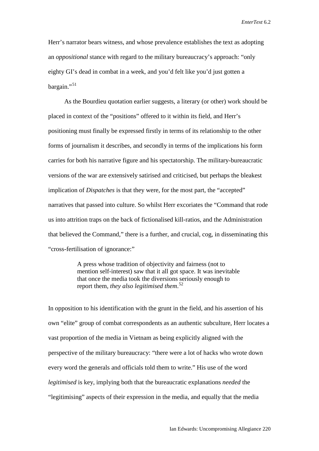Herr's narrator bears witness, and whose prevalence establishes the text as adopting an *oppositional* stance with regard to the military bureaucracy's approach: "only eighty GI's dead in combat in a week, and you'd felt like you'd just gotten a bargain."<sup>[51](#page-28-48)</sup>

 As the Bourdieu quotation earlier suggests, a literary (or other) work should be placed in context of the "positions" offered to it within its field, and Herr's positioning must finally be expressed firstly in terms of its relationship to the other forms of journalism it describes, and secondly in terms of the implications his form carries for both his narrative figure and his spectatorship. The military-bureaucratic versions of the war are extensively satirised and criticised, but perhaps the bleakest implication of *Dispatches* is that they were, for the most part, the "accepted" narratives that passed into culture. So whilst Herr excoriates the "Command that rode us into attrition traps on the back of fictionalised kill-ratios, and the Administration that believed the Command," there is a further, and crucial, cog, in disseminating this "cross-fertilisation of ignorance:"

> A press whose tradition of objectivity and fairness (not to mention self-interest) saw that it all got space. It was inevitable that once the media took the diversions seriously enough to report them, *they also legitimised them*. [52](#page-28-49)

In opposition to his identification with the grunt in the field, and his assertion of his own "elite" group of combat correspondents as an authentic subculture, Herr locates a vast proportion of the media in Vietnam as being explicitly aligned with the perspective of the military bureaucracy: "there were a lot of hacks who wrote down every word the generals and officials told them to write." His use of the word *legitimised* is key, implying both that the bureaucratic explanations *needed* the "legitimising" aspects of their expression in the media, and equally that the media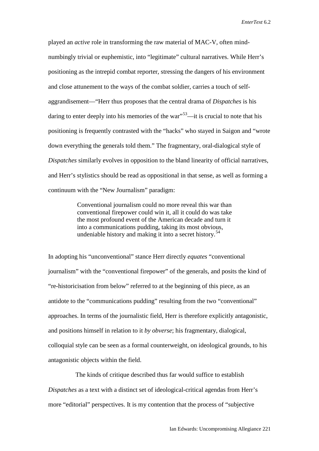played an *active* role in transforming the raw material of MAC-V, often mindnumbingly trivial or euphemistic, into "legitimate" cultural narratives. While Herr's positioning as the intrepid combat reporter, stressing the dangers of his environment and close attunement to the ways of the combat soldier, carries a touch of selfaggrandisement—"Herr thus proposes that the central drama of *Dispatches* is his daring to enter deeply into his memories of the war<sup> $53$ </sup>—it is crucial to note that his positioning is frequently contrasted with the "hacks" who stayed in Saigon and "wrote down everything the generals told them." The fragmentary, oral-dialogical style of *Dispatches* similarly evolves in opposition to the bland linearity of official narratives, and Herr's stylistics should be read as oppositional in that sense, as well as forming a continuum with the "New Journalism" paradigm:

> Conventional journalism could no more reveal this war than conventional firepower could win it, all it could do was take the most profound event of the American decade and turn it into a communications pudding, taking its most obvious, undeniable history and making it into a secret history.<sup>[54](#page-28-51)</sup>

In adopting his "unconventional" stance Herr directly *equates* "conventional journalism" with the "conventional firepower" of the generals, and posits the kind of "re-historicisation from below" referred to at the beginning of this piece, as an antidote to the "communications pudding" resulting from the two "conventional" approaches. In terms of the journalistic field, Herr is therefore explicitly antagonistic, and positions himself in relation to it *by obverse*; his fragmentary, dialogical, colloquial style can be seen as a formal counterweight, on ideological grounds, to his antagonistic objects within the field.

 The kinds of critique described thus far would suffice to establish *Dispatches* as a text with a distinct set of ideological-critical agendas from Herr's more "editorial" perspectives. It is my contention that the process of "subjective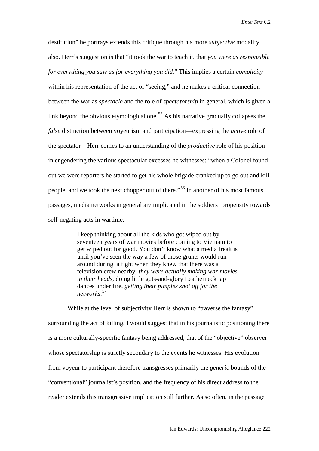destitution" he portrays extends this critique through his more *subjective* modality also. Herr's suggestion is that "it took the war to teach it, that *you were as responsible for everything you saw as for everything you did.*" This implies a certain *complicity* within his representation of the act of "seeing," and he makes a critical connection between the war as *spectacle* and the role of *spectatorship* in general, which is given a link beyond the obvious etymological one.<sup>[55](#page-28-52)</sup> As his narrative gradually collapses the *false* distinction between voyeurism and participation—expressing the *active* role of the spectator—Herr comes to an understanding of the *productive* role of his position in engendering the various spectacular excesses he witnesses: "when a Colonel found out we were reporters he started to get his whole brigade cranked up to go out and kill people, and we took the next chopper out of there."[56](#page-28-53) In another of his most famous passages, media networks in general are implicated in the soldiers' propensity towards self-negating acts in wartime:

> I keep thinking about all the kids who got wiped out by seventeen years of war movies before coming to Vietnam to get wiped out for good. You don't know what a media freak is until you've seen the way a few of those grunts would run around during a fight when they knew that there was a television crew nearby; *they were actually making war movies in their heads*, doing little guts-and-glory Leatherneck tap dances under fire, *getting their pimples shot off for the networks*. [57](#page-28-54)

While at the level of subjectivity Herr is shown to "traverse the fantasy" surrounding the act of killing, I would suggest that in his journalistic positioning there is a more culturally-specific fantasy being addressed, that of the "objective" observer whose spectatorship is strictly secondary to the events he witnesses. His evolution from voyeur to participant therefore transgresses primarily the *generic* bounds of the "conventional" journalist's position, and the frequency of his direct address to the reader extends this transgressive implication still further. As so often, in the passage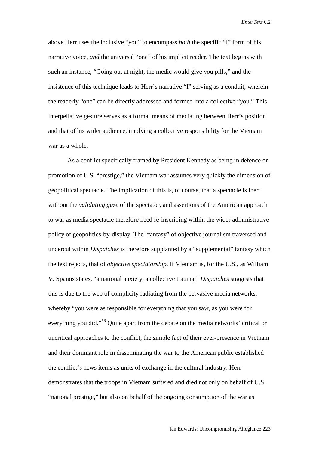above Herr uses the inclusive "you" to encompass *both* the specific "I" form of his narrative voice, *and* the universal "one" of his implicit reader. The text begins with such an instance, "Going out at night, the medic would give you pills," and the insistence of this technique leads to Herr's narrative "I" serving as a conduit, wherein the readerly "one" can be directly addressed and formed into a collective "you." This interpellative gesture serves as a formal means of mediating between Herr's position and that of his wider audience, implying a collective responsibility for the Vietnam war as a whole.

As a conflict specifically framed by President Kennedy as being in defence or promotion of U.S. "prestige," the Vietnam war assumes very quickly the dimension of geopolitical spectacle. The implication of this is, of course, that a spectacle is inert without the *validating gaze* of the spectator, and assertions of the American approach to war as media spectacle therefore need re-inscribing within the wider administrative policy of geopolitics-by-display. The "fantasy" of objective journalism traversed and undercut within *Dispatches* is therefore supplanted by a "supplemental" fantasy which the text rejects, that of *objective spectatorship*. If Vietnam is, for the U.S., as William V. Spanos states, "a national anxiety, a collective trauma," *Dispatches* suggests that this is due to the web of complicity radiating from the pervasive media networks, whereby "you were as responsible for everything that you saw, as you were for everything you did."<sup>[58](#page-28-55)</sup> Quite apart from the debate on the media networks' critical or uncritical approaches to the conflict, the simple fact of their ever-presence in Vietnam and their dominant role in disseminating the war to the American public established the conflict's news items as units of exchange in the cultural industry. Herr demonstrates that the troops in Vietnam suffered and died not only on behalf of U.S. "national prestige," but also on behalf of the ongoing consumption of the war as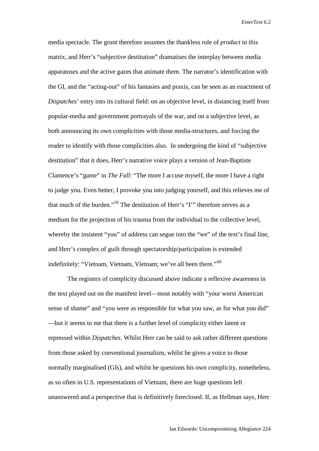media spectacle. The grunt therefore assumes the thankless role of *product* in this matrix, and Herr's "subjective destitution" dramatises the interplay between media apparatuses and the active gazes that animate them. The narrator's identification with the GI, and the "acting-out" of his fantasies and praxis, can be seen as an enactment of *Dispatches*' entry into its cultural field: on an objective level, in distancing itself from popular-media and government portrayals of the war, and on a subjective level, as both announcing its own complicities with those media-structures, and forcing the reader to identify with those complicities also. In undergoing the kind of "subjective destitution" that it does, Herr's narrative voice plays a version of Jean-Baptiste Clamence's "game" in *The Fall*: "The more I accuse myself, the more I have a right to judge you. Even better, I provoke you into judging yourself, and this relieves me of that much of the burden."[59](#page-28-56) The destitution of Herr's "I'" therefore serves as a medium for the projection of his trauma from the individual to the collective level, whereby the insistent "you" of address can segue into the "we" of the text's final line, and Herr's complex of guilt through spectatorship/participation is extended indefinitely: "Vietnam, Vietnam, Vietnam; we've all been there."<sup>[60](#page-28-57)</sup>

The registers of complicity discussed above indicate a reflexive awareness in the text played out on the manifest level—most notably with "your worst American sense of shame" and "you were as responsible for what you saw, as for what you did" —but it seems to me that there is a further level of complicity either latent or repressed within *Dispatches*. Whilst Herr can be said to ask rather different questions from those asked by conventional journalism, whilst he gives a voice to those normally marginalised (GIs), and whilst he questions his own complicity, nonetheless, as so often in U.S. representations of Vietnam, there are huge questions left unanswered and a perspective that is definitively foreclosed. If, as Hellman says, Herr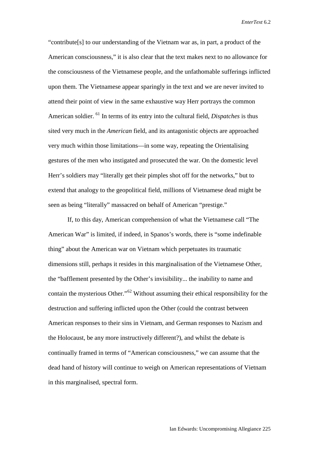"contribute[s] to our understanding of the Vietnam war as, in part, a product of the American consciousness," it is also clear that the text makes next to no allowance for the consciousness of the Vietnamese people, and the unfathomable sufferings inflicted upon them. The Vietnamese appear sparingly in the text and we are never invited to attend their point of view in the same exhaustive way Herr portrays the common American soldier. [61](#page-28-58) In terms of its entry into the cultural field, *Dispatches* is thus sited very much in the *American* field, and its antagonistic objects are approached very much within those limitations—in some way, repeating the Orientalising gestures of the men who instigated and prosecuted the war. On the domestic level Herr's soldiers may "literally get their pimples shot off for the networks," but to extend that analogy to the geopolitical field, millions of Vietnamese dead might be seen as being "literally" massacred on behalf of American "prestige."

If, to this day, American comprehension of what the Vietnamese call "The American War" is limited, if indeed, in Spanos's words, there is "some indefinable thing" about the American war on Vietnam which perpetuates its traumatic dimensions still, perhaps it resides in this marginalisation of the Vietnamese Other, the "bafflement presented by the Other's invisibility... the inability to name and contain the mysterious Other."[62](#page-28-59) Without assuming their ethical responsibility for the destruction and suffering inflicted upon the Other (could the contrast between American responses to their sins in Vietnam, and German responses to Nazism and the Holocaust, be any more instructively different?), and whilst the debate is continually framed in terms of "American consciousness," we can assume that the dead hand of history will continue to weigh on American representations of Vietnam in this marginalised, spectral form.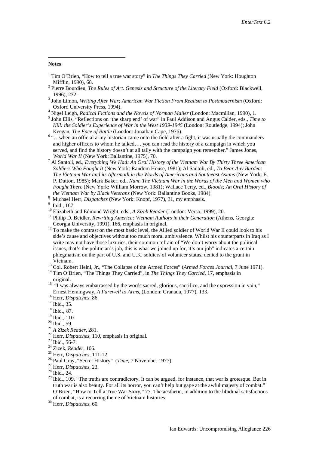## <span id="page-27-0"></span>**Notes**

-

- <sup>1</sup> Tim O'Brien, "How to tell a true war story" in *The Things They Carried* (New York: Houghton Mifflin, 1990), 68.
- <span id="page-27-1"></span><sup>2</sup> Pierre Bourdieu, *The Rules of Art. Genesis and Structure of the Literary Field* (Oxford: Blackwell, 1996), 232. <sup>3</sup> John Limon, *Writing After War; American War Fiction From Realism to Postmodernism* (Oxford:
- Oxford University Press, 1994).<br><sup>4</sup> Nigel Leigh, *Radical Fictions and the Novels of Norman Mailer* (London: Macmillan, 1990), 1.<br><sup>5</sup> John Ellis, "Reflections on 'the sharp end' of war" in Paul Addison and Angus Calder, ed
- 
- *Kill: the Soldier's Experience of War in the West 1939-1945* (London: Routledge, 1994); John

<sup>6</sup> "...when an official army historian came onto the field after a fight, it was usually the commanders and higher officers to whom he talked…. you can read the history of a campaign in which you served, and find the history doesn't at all tally with the campaign you remember." James Jones, World War II (New York: Ballantine, 1975), 70.

<sup>7</sup> Al Santoli, ed., *Everything We Had: An Oral History of the Vietnam War By Thirty Three American Soldiers Who Fought It* (New York: Random House, 1981); Al Santoli, ed., *To Bear Any Burden: The Vietnam War and its Aftermath in the Words of Americans and Southeast Asians* (New York: E. P. Dutton, 1985); Mark Baker, ed., *Nam*: *The Vietnam War in the Words of the Men and Women who Fought There* (New York: William Morrow, 1981); Wallace Terry, ed., *Bloods; An Oral History of the Vietnam War by Black Veterans* (New York: Ballantine Books, 1984).

- 
- 
- <sup>10</sup> Elizabeth and Edmund Wright, eds., *A Zizek Reader* (London: Verso, 1999), 20.<br><sup>11</sup> Philip D. Beidler, *Rewriting America: Vietnam Authors in their Generation* (Athens, Georgia: Georgia: Georgia: University, 1991), 16
- $\frac{12}{12}$  To make the contrast on the most basic level, the Allied soldier of World War II could look to his side's cause and objectives without too much moral ambivalence. Whilst his counterparts in Iraq as I write may not have those luxuries, their common refrain of "We don't worry about the political issues, that's the politician's job, this is what we joined up for, it's our job" indicates a certain phlegmatism on the part of U.S. and U.K. soldiers of volunteer status, denied to the grunt in Vietnam.<br><sup>13</sup> Col. Robert Heinl, Jr., "The Collapse of the Armed Forces" (*Armed Forces Journal*, 7 June 1971).<br><sup>14</sup> Tim O'Brien, "The Things They Carried", in *The Things They Carried*, 17, emphasis in
- 
- 
- original.<br><sup>15</sup> "I was always embarrassed by the words sacred, glorious, sacrifice, and the expression in vain," Ernest Hemingway, *A Farewell to Arms*, (London: Granada, 1977), 133. <sup>16</sup> Herr, *Dispatches*, 86. <sup>17</sup> Ibid., 35.
- 
- $^{18}$  Ibid., 87.<br> $^{19}$  Ibid., 110.
- 
- 
- 
- 
- 
- 
- 
- <sup>20</sup> Ibid., 59.<br>
<sup>21</sup> *A Zizek Reader*, 281.<br>
<sup>22</sup> Herr, *Dispatches*, 110, emphasis in original.<br>
<sup>23</sup> Ibid., 56-7.<br>
<sup>24</sup> Zizek, *Reader*, 106.<br>
<sup>25</sup> Herr, *Dispatches*, 111-12.<br>
<sup>26</sup> Paul Gray, "Secret History" (*Time*,
- 
- 
- <sup>29</sup> Ibid., 109. "The truths are contradictory. It can be argued, for instance, that war is grotesque. But in truth war is also beauty. For all its horror, you can't help but gape at the awful majesty of combat." O'Brien, "How to Tell a True War Story," 77. The aesthetic, in addition to the libidinal satisfactions of combat, is a recurring theme of Vietnam histories. <sup>30</sup> Herr, *Dispatches*, 60.

<sup>&</sup>lt;sup>8</sup> Michael Herr, *Dispatches* (New York: Knopf, 1977), 31, my emphasis. <sup>9</sup> Ibid., 167.